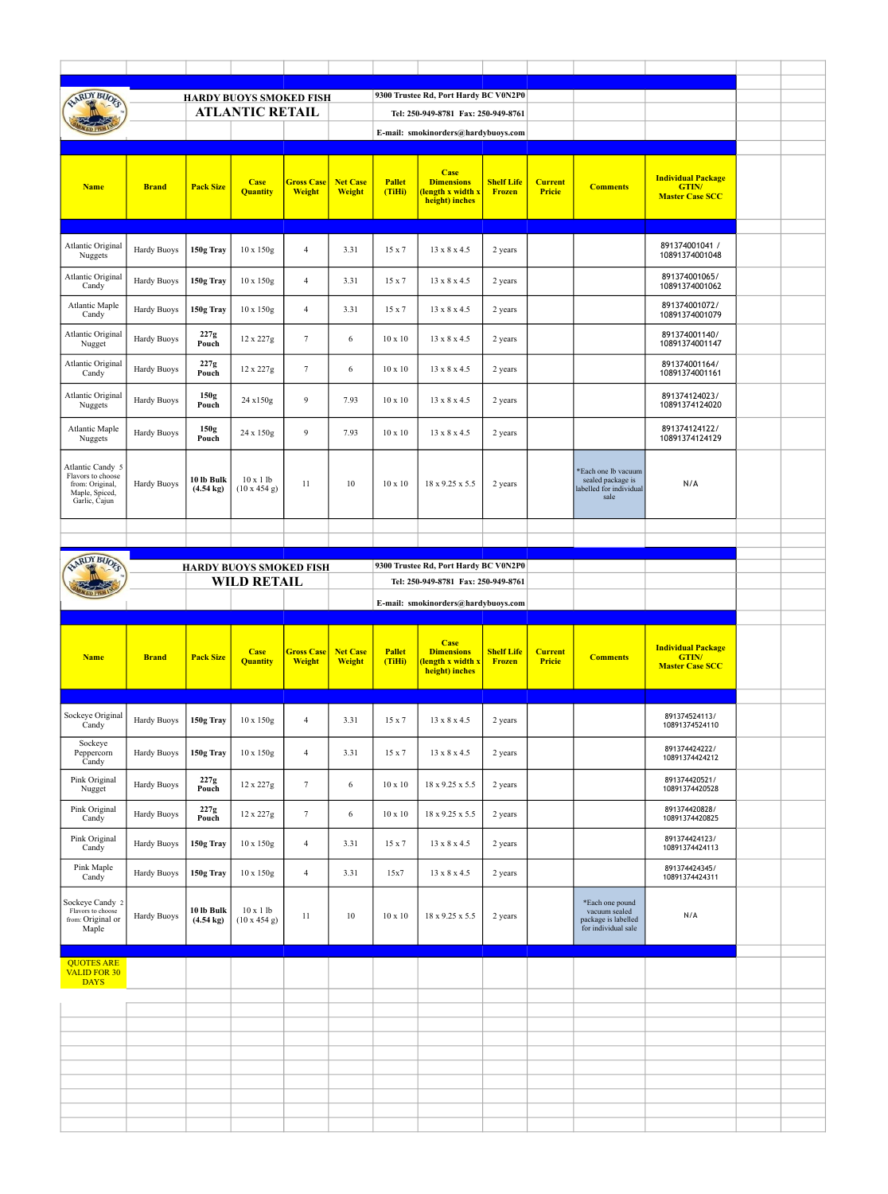| LARDY BUORS                                                                                 |                                     |                                   | <b>HARDY BUOYS SMOKED FISH</b>                       |                                             |                                  |                         | 9300 Trustee Rd, Port Hardy BC V0N2P0                                        |                             |                                 |                                                                                |                                                              |  |
|---------------------------------------------------------------------------------------------|-------------------------------------|-----------------------------------|------------------------------------------------------|---------------------------------------------|----------------------------------|-------------------------|------------------------------------------------------------------------------|-----------------------------|---------------------------------|--------------------------------------------------------------------------------|--------------------------------------------------------------|--|
|                                                                                             |                                     |                                   | <b>ATLANTIC RETAIL</b>                               |                                             |                                  |                         | Tel: 250-949-8781 Fax: 250-949-8761                                          |                             |                                 |                                                                                |                                                              |  |
|                                                                                             | E-mail: smokinorders@hardybuoys.com |                                   |                                                      |                                             |                                  |                         |                                                                              |                             |                                 |                                                                                |                                                              |  |
| <b>Name</b>                                                                                 | <b>Brand</b>                        | <b>Pack Size</b>                  | <b>Case</b><br><b>Quantity</b>                       | <b>Gross Case</b><br>Weight                 | <b>Net Case</b><br><b>Weight</b> | <b>Pallet</b><br>(TiHi) | <b>Case</b><br><b>Dimensions</b><br>(length x width x<br>height) inches      | <b>Shelf Life</b><br>Frozen | <b>Current</b><br><b>Pricie</b> | <b>Comments</b>                                                                | <b>Individual Package</b><br>GTIN/<br><b>Master Case SCC</b> |  |
| Atlantic Original<br>Nuggets                                                                | <b>Hardy Buoys</b>                  | 150g Tray                         | $10 \times 150$ g                                    | $\overline{4}$                              | 3.31                             | 15 x 7                  | 13 x 8 x 4.5                                                                 | 2 years                     |                                 |                                                                                | 891374001041 /<br>10891374001048                             |  |
| Atlantic Original<br>Candy                                                                  | Hardy Buoys                         | 150g Tray                         | $10 \times 150$ g                                    | $\overline{4}$                              | 3.31                             | 15 x 7                  | 13 x 8 x 4.5                                                                 | 2 years                     |                                 |                                                                                | 891374001065/<br>10891374001062                              |  |
| <b>Atlantic Maple</b><br>Candy                                                              | Hardy Buoys                         | 150g Tray                         | $10 \times 150$ g                                    | $\overline{4}$                              | 3.31                             | 15 x 7                  | 13 x 8 x 4.5                                                                 | 2 years                     |                                 |                                                                                | 891374001072/<br>10891374001079                              |  |
| Atlantic Original<br>Nugget                                                                 | Hardy Buoys                         | 227g<br>Pouch                     | 12 x 227g                                            | $\overline{7}$                              | 6                                | $10 \times 10$          | 13 x 8 x 4.5                                                                 | 2 years                     |                                 |                                                                                | 891374001140/<br>10891374001147                              |  |
| Atlantic Original<br>Candy                                                                  | Hardy Buoys                         | 227g<br>Pouch                     | 12 x 227g                                            | $\tau$                                      | 6                                | $10 \times 10$          | 13 x 8 x 4.5                                                                 | 2 years                     |                                 |                                                                                | 891374001164/<br>10891374001161                              |  |
| Atlantic Original<br>Nuggets                                                                | Hardy Buoys                         | 150g<br>Pouch                     | 24 x150g                                             | 9                                           | 7.93                             | $10 \times 10$          | 13 x 8 x 4.5                                                                 | 2 years                     |                                 |                                                                                | 891374124023/<br>10891374124020                              |  |
| <b>Atlantic Maple</b><br>Nuggets                                                            | Hardy Buoys                         | 150g<br>Pouch                     | 24 x 150g                                            | $\boldsymbol{9}$                            | 7.93                             | $10 \times 10$          | 13 x 8 x 4.5                                                                 | 2 years                     |                                 |                                                                                | 891374124122/<br>10891374124129                              |  |
| Atlantic Candy 5<br>Flavors to choose<br>from: Original,<br>Maple, Spiced,<br>Garlic, Cajun | Hardy Buoys                         | 10 lb Bulk<br>$(4.54 \text{ kg})$ | $10 \times 1$ lb<br>$(10 \times 454 \text{ g})$      | 11                                          | 10                               | $10 \times 10$          | 18 x 9.25 x 5.5                                                              | 2 years                     |                                 | *Each one lb vacuum<br>sealed package is<br>labelled for individual<br>sale    | N/A                                                          |  |
|                                                                                             |                                     |                                   |                                                      |                                             |                                  |                         |                                                                              |                             |                                 |                                                                                |                                                              |  |
| ARDY BUORS                                                                                  |                                     |                                   |                                                      |                                             |                                  |                         |                                                                              |                             |                                 |                                                                                |                                                              |  |
|                                                                                             |                                     |                                   | <b>HARDY BUOYS SMOKED FISH</b><br><b>WILD RETAIL</b> |                                             |                                  |                         | 9300 Trustee Rd, Port Hardy BC V0N2P0<br>Tel: 250-949-8781 Fax: 250-949-8761 |                             |                                 |                                                                                |                                                              |  |
|                                                                                             |                                     |                                   |                                                      |                                             |                                  |                         |                                                                              |                             |                                 |                                                                                |                                                              |  |
| E-mail: smokinorders@hardybuoys.com                                                         |                                     |                                   |                                                      |                                             |                                  |                         |                                                                              |                             |                                 |                                                                                |                                                              |  |
|                                                                                             |                                     |                                   |                                                      |                                             |                                  |                         |                                                                              |                             |                                 |                                                                                |                                                              |  |
| <b>Name</b>                                                                                 | <b>Brand</b>                        | <b>Pack Size</b>                  | <b>Case</b><br><b>Quantity</b>                       | <b>Gross Case</b> Net Case<br><b>Weight</b> | <b>Weight</b>                    | <b>Pallet</b><br>(TiHi) | <b>Case</b><br><b>Dimensions</b><br>(length x width x<br>height) inches      | <b>Shelf Life</b><br>Frozen | <b>Current</b><br><b>Pricie</b> | <b>Comments</b>                                                                | <b>Individual Package</b><br>GTIN/<br><b>Master Case SCC</b> |  |
|                                                                                             |                                     |                                   |                                                      |                                             |                                  |                         |                                                                              |                             |                                 |                                                                                |                                                              |  |
| Sockeye Original<br>Candy<br>Sockeye                                                        | Hardy Buoys                         | 150g Tray                         | $10 \times 150$ g                                    | $\overline{4}$                              | 3.31                             | 15 x 7                  | 13 x 8 x 4.5                                                                 | 2 years                     |                                 |                                                                                | 891374524113/<br>10891374524110                              |  |
| Peppercorn<br>Candy                                                                         | Hardy Buoys                         | 150g Tray                         | $10 \times 150$ g                                    | $\overline{4}$                              | 3.31                             | 15 x 7                  | 13 x 8 x 4.5                                                                 | 2 years                     |                                 |                                                                                | 891374424222/<br>10891374424212                              |  |
| Pink Original<br>Nugget                                                                     | Hardy Buoys                         | 227g<br>Pouch                     | 12 x 227g                                            | $7\phantom{.0}$                             | 6                                | $10 \times 10$          | 18 x 9.25 x 5.5                                                              | 2 years                     |                                 |                                                                                | 891374420521/<br>10891374420528                              |  |
| Pink Original<br>Candy                                                                      | Hardy Buoys                         | 227g<br>Pouch                     | 12 x 227g                                            | $\tau$                                      | 6                                | $10 \times 10$          | 18 x 9.25 x 5.5                                                              | 2 years                     |                                 |                                                                                | 891374420828/<br>10891374420825<br>891374424123/             |  |
| Pink Original<br>Candy<br>Pink Maple                                                        | Hardy Buoys                         | 150g Tray                         | $10 \times 150$ g                                    | $\overline{4}$                              | 3.31                             | 15 x 7                  | 13 x 8 x 4.5                                                                 | 2 years                     |                                 |                                                                                | 10891374424113<br>891374424345/                              |  |
| Candy                                                                                       | Hardy Buoys                         | 150g Tray                         | 10 x 150g                                            | $\overline{4}$                              | 3.31                             | 15x7                    | 13 x 8 x 4.5                                                                 | 2 years                     |                                 |                                                                                | 10891374424311                                               |  |
| Sockeye Candy 2<br>Flavors to choose<br>from: Original or<br>Maple                          | Hardy Buoys                         | 10 lb Bulk<br>$(4.54 \text{ kg})$ | $10 \times 1$ lb<br>$(10 \times 454 \text{ g})$      | 11                                          | 10                               | $10 \times 10$          | 18 x 9.25 x 5.5                                                              | 2 years                     |                                 | *Each one pound<br>vacuum sealed<br>package is labelled<br>for individual sale | N/A                                                          |  |
| <b>QUOTES ARE</b><br><b>VALID FOR 30</b>                                                    |                                     |                                   |                                                      |                                             |                                  |                         |                                                                              |                             |                                 |                                                                                |                                                              |  |
| <b>DAYS</b>                                                                                 |                                     |                                   |                                                      |                                             |                                  |                         |                                                                              |                             |                                 |                                                                                |                                                              |  |
|                                                                                             |                                     |                                   |                                                      |                                             |                                  |                         |                                                                              |                             |                                 |                                                                                |                                                              |  |
|                                                                                             |                                     |                                   |                                                      |                                             |                                  |                         |                                                                              |                             |                                 |                                                                                |                                                              |  |
|                                                                                             |                                     |                                   |                                                      |                                             |                                  |                         |                                                                              |                             |                                 |                                                                                |                                                              |  |
|                                                                                             |                                     |                                   |                                                      |                                             |                                  |                         |                                                                              |                             |                                 |                                                                                |                                                              |  |
|                                                                                             |                                     |                                   |                                                      |                                             |                                  |                         |                                                                              |                             |                                 |                                                                                |                                                              |  |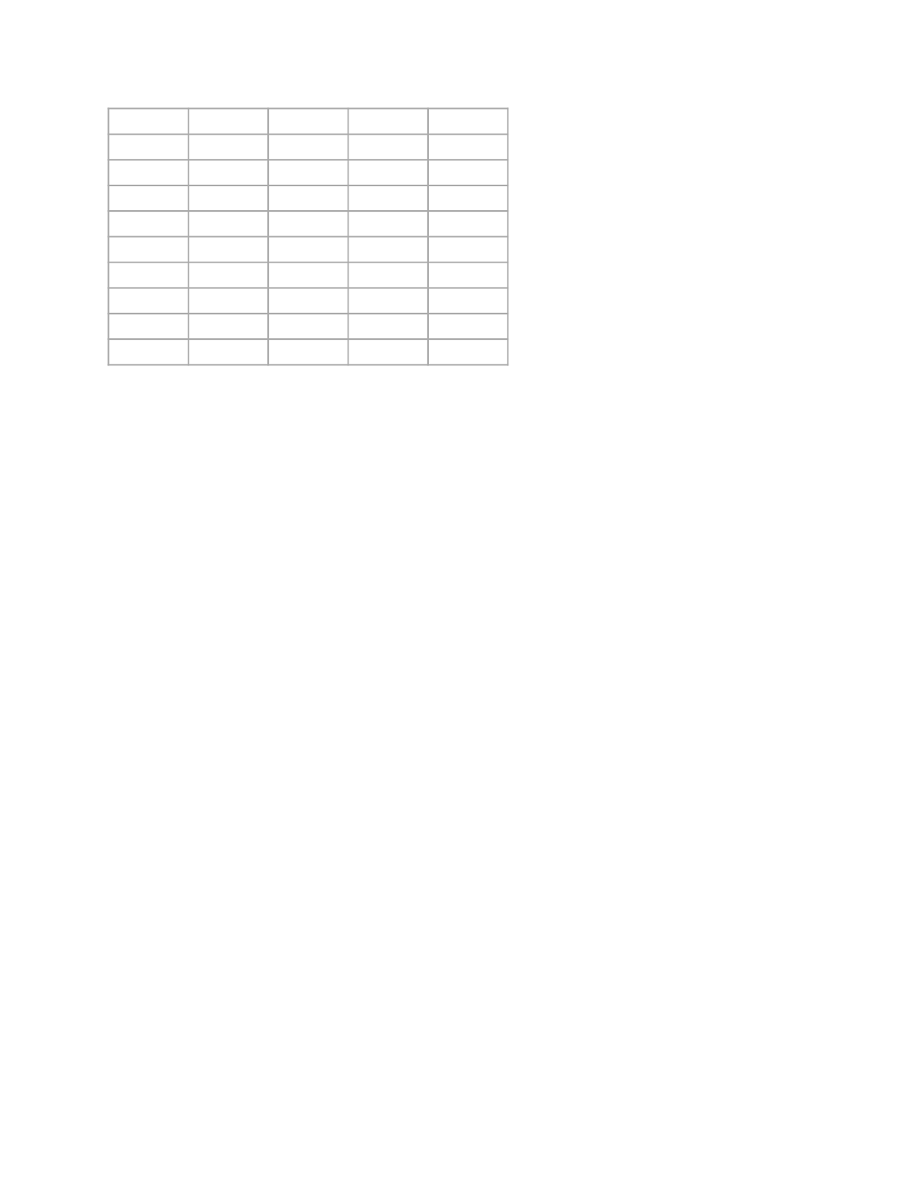|                                                             | the control of the control of the control of the control of                               | the control of the control of the control of the control of the                                                 | the control of the control of the control of the control of |  |
|-------------------------------------------------------------|-------------------------------------------------------------------------------------------|-----------------------------------------------------------------------------------------------------------------|-------------------------------------------------------------|--|
|                                                             |                                                                                           |                                                                                                                 |                                                             |  |
| the control of the control of the control of the control of | the control of the control of the control of the control of the control of the control of | the control of the control of the control of the control of the control of the control of                       | the control of the control of the control of                |  |
|                                                             |                                                                                           | <u> 1989 - Andrea Stadt Britain, amerikansk fotballstva i sve</u>                                               |                                                             |  |
|                                                             |                                                                                           | the contract of the contract of the contract of the contract of the contract of the contract of the contract of |                                                             |  |
|                                                             |                                                                                           | the control of the control of the control of the control of the control of                                      |                                                             |  |
|                                                             |                                                                                           |                                                                                                                 |                                                             |  |
|                                                             | the control of the control of the control of the control of                               | the control of the control of the control of the control of                                                     | the control of the control of the control of                |  |